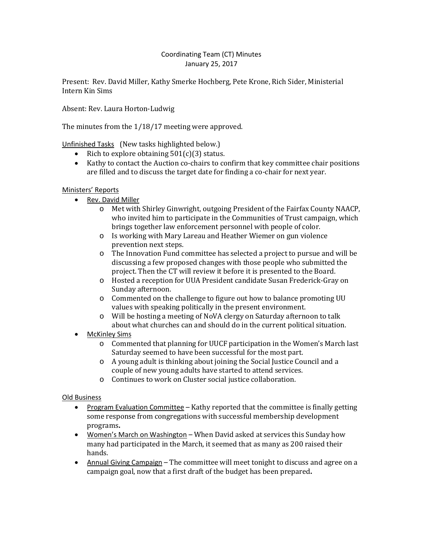### Coordinating Team (CT) Minutes January 25, 2017

Present: Rev. David Miller, Kathy Smerke Hochberg, Pete Krone, Rich Sider, Ministerial Intern Kin Sims

Absent: Rev. Laura Horton-Ludwig

The minutes from the 1/18/17 meeting were approved.

Unfinished Tasks (New tasks highlighted below.)

- Rich to explore obtaining 501(c)(3) status.
- Kathy to contact the Auction co-chairs to confirm that key committee chair positions are filled and to discuss the target date for finding a co-chair for next year.

# Ministers' Reports

- Rev. David Miller
	- o Met with Shirley Ginwright, outgoing President of the Fairfax County NAACP, who invited him to participate in the Communities of Trust campaign, which brings together law enforcement personnel with people of color.
	- o Is working with Mary Lareau and Heather Wiemer on gun violence prevention next steps.
	- o The Innovation Fund committee has selected a project to pursue and will be discussing a few proposed changes with those people who submitted the project. Then the CT will review it before it is presented to the Board.
	- o Hosted a reception for UUA President candidate Susan Frederick-Gray on Sunday afternoon.
	- o Commented on the challenge to figure out how to balance promoting UU values with speaking politically in the present environment.
	- o Will be hosting a meeting of NoVA clergy on Saturday afternoon to talk about what churches can and should do in the current political situation.
- **McKinley Sims** 
	- o Commented that planning for UUCF participation in the Women's March last Saturday seemed to have been successful for the most part.
	- o A young adult is thinking about joining the Social Justice Council and a couple of new young adults have started to attend services.
	- o Continues to work on Cluster social justice collaboration.

# Old Business

- Program Evaluation Committee Kathy reported that the committee is finally getting some response from congregations with successful membership development programs**.**
- Women's March on Washington When David asked at services this Sunday how many had participated in the March, it seemed that as many as 200 raised their hands.
- Annual Giving Campaign The committee will meet tonight to discuss and agree on a campaign goal, now that a first draft of the budget has been prepared**.**